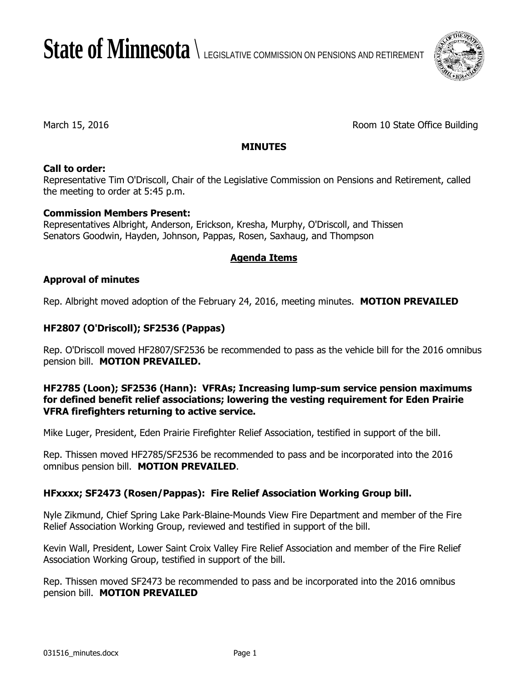State of Minnesota  $\setminus$  legislative commission on pensions and retirement



March 15, 2016 **Room 10 State Office Building** 

## **MINUTES**

## **Call to order:**

Representative Tim O'Driscoll, Chair of the Legislative Commission on Pensions and Retirement, called the meeting to order at 5:45 p.m.

## **Commission Members Present:**

Representatives Albright, Anderson, Erickson, Kresha, Murphy, O'Driscoll, and Thissen Senators Goodwin, Hayden, Johnson, Pappas, Rosen, Saxhaug, and Thompson

## **Agenda Items**

## **Approval of minutes**

Rep. Albright moved adoption of the February 24, 2016, meeting minutes. **MOTION PREVAILED**

# **HF2807 (O'Driscoll); SF2536 (Pappas)**

Rep. O'Driscoll moved HF2807/SF2536 be recommended to pass as the vehicle bill for the 2016 omnibus pension bill. **MOTION PREVAILED.**

### **HF2785 (Loon); SF2536 (Hann): VFRAs; Increasing lump-sum service pension maximums for defined benefit relief associations; lowering the vesting requirement for Eden Prairie VFRA firefighters returning to active service.**

Mike Luger, President, Eden Prairie Firefighter Relief Association, testified in support of the bill.

Rep. Thissen moved HF2785/SF2536 be recommended to pass and be incorporated into the 2016 omnibus pension bill. **MOTION PREVAILED**.

## **HFxxxx; SF2473 (Rosen/Pappas): Fire Relief Association Working Group bill.**

Nyle Zikmund, Chief Spring Lake Park-Blaine-Mounds View Fire Department and member of the Fire Relief Association Working Group, reviewed and testified in support of the bill.

Kevin Wall, President, Lower Saint Croix Valley Fire Relief Association and member of the Fire Relief Association Working Group, testified in support of the bill.

Rep. Thissen moved SF2473 be recommended to pass and be incorporated into the 2016 omnibus pension bill. **MOTION PREVAILED**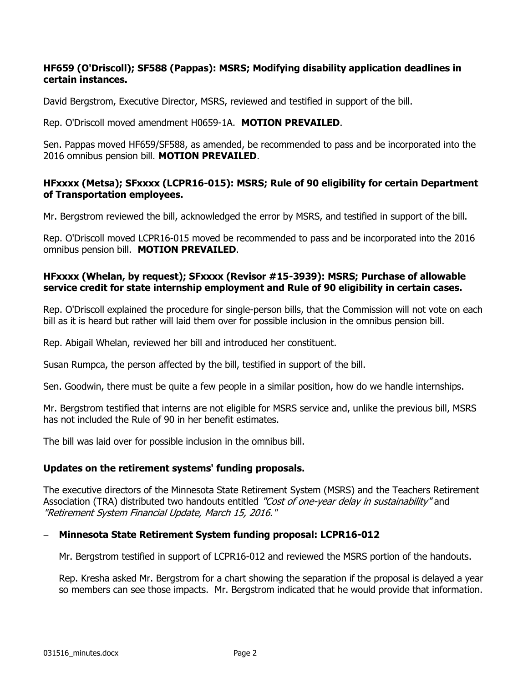#### **HF659 (O'Driscoll); SF588 (Pappas): MSRS; Modifying disability application deadlines in certain instances.**

David Bergstrom, Executive Director, MSRS, reviewed and testified in support of the bill.

Rep. O'Driscoll moved amendment H0659-1A. **MOTION PREVAILED**.

Sen. Pappas moved HF659/SF588, as amended, be recommended to pass and be incorporated into the 2016 omnibus pension bill. **MOTION PREVAILED**.

### **HFxxxx (Metsa); SFxxxx (LCPR16-015): MSRS; Rule of 90 eligibility for certain Department of Transportation employees.**

Mr. Bergstrom reviewed the bill, acknowledged the error by MSRS, and testified in support of the bill.

Rep. O'Driscoll moved LCPR16-015 moved be recommended to pass and be incorporated into the 2016 omnibus pension bill. **MOTION PREVAILED**.

#### **HFxxxx (Whelan, by request); SFxxxx (Revisor #15-3939): MSRS; Purchase of allowable service credit for state internship employment and Rule of 90 eligibility in certain cases.**

Rep. O'Driscoll explained the procedure for single-person bills, that the Commission will not vote on each bill as it is heard but rather will laid them over for possible inclusion in the omnibus pension bill.

Rep. Abigail Whelan, reviewed her bill and introduced her constituent.

Susan Rumpca, the person affected by the bill, testified in support of the bill.

Sen. Goodwin, there must be quite a few people in a similar position, how do we handle internships.

Mr. Bergstrom testified that interns are not eligible for MSRS service and, unlike the previous bill, MSRS has not included the Rule of 90 in her benefit estimates.

The bill was laid over for possible inclusion in the omnibus bill.

#### **Updates on the retirement systems' funding proposals.**

The executive directors of the Minnesota State Retirement System (MSRS) and the Teachers Retirement Association (TRA) distributed two handouts entitled "Cost of one-year delay in sustainability" and "Retirement System Financial Update, March 15, 2016."

#### **Minnesota State Retirement System funding proposal: LCPR16-012**

Mr. Bergstrom testified in support of LCPR16-012 and reviewed the MSRS portion of the handouts.

Rep. Kresha asked Mr. Bergstrom for a chart showing the separation if the proposal is delayed a year so members can see those impacts. Mr. Bergstrom indicated that he would provide that information.